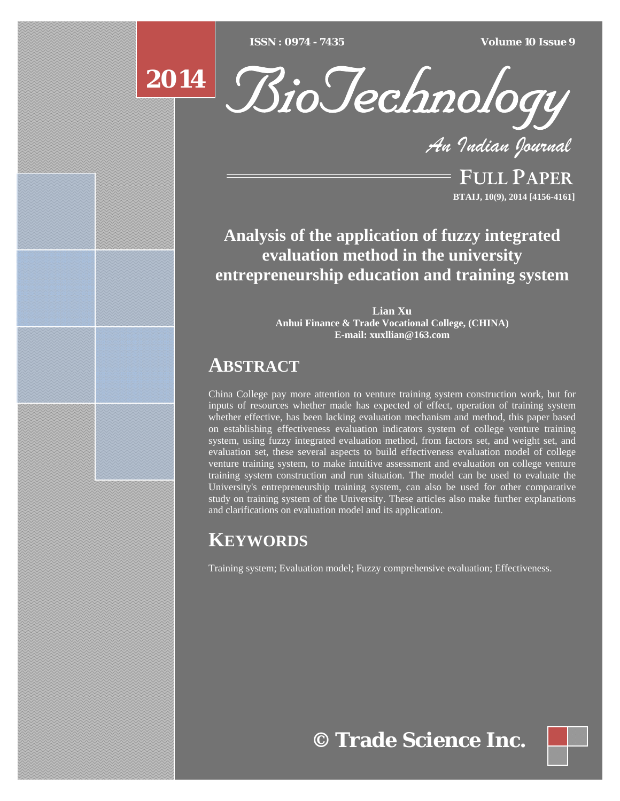[Type text] [Type text] [Type text] *ISSN : 0974 - 7435 Volume 10 Issue 9*



*An Indian Journal*

FULL PAPER **BTAIJ, 10(9), 2014 [4156-4161]**

## **Analysis of the application of fuzzy integrated evaluation method in the university entrepreneurship education and training system**

**Lian Xu Anhui Finance & Trade Vocational College, (CHINA) E-mail: xuxllian@163.com**

# **ABSTRACT**

China College pay more attention to venture training system construction work, but for inputs of resources whether made has expected of effect, operation of training system whether effective, has been lacking evaluation mechanism and method, this paper based on establishing effectiveness evaluation indicators system of college venture training system, using fuzzy integrated evaluation method, from factors set, and weight set, and evaluation set, these several aspects to build effectiveness evaluation model of college venture training system, to make intuitive assessment and evaluation on college venture training system construction and run situation. The model can be used to evaluate the University's entrepreneurship training system, can also be used for other comparative study on training system of the University. These articles also make further explanations and clarifications on evaluation model and its application.

# **KEYWORDS**

Training system; Evaluation model; Fuzzy comprehensive evaluation; Effectiveness.

**© Trade Science Inc.**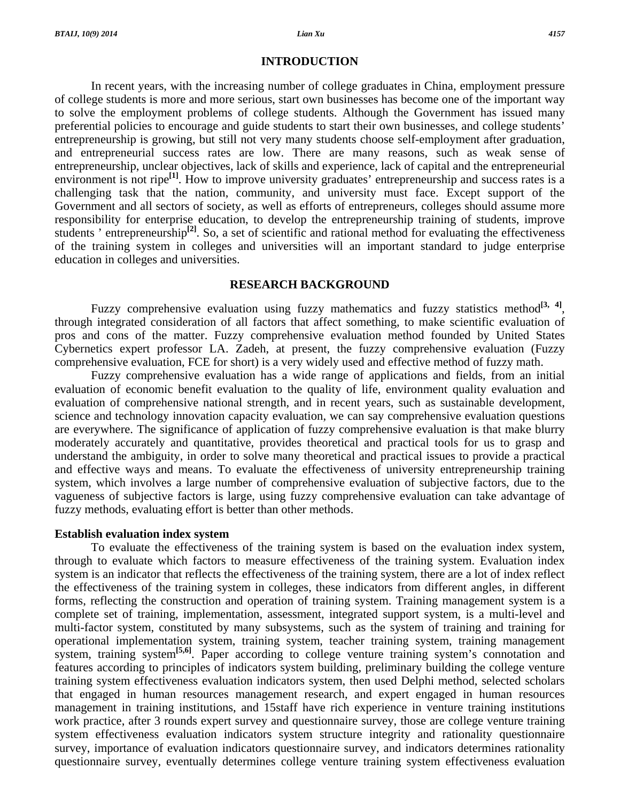#### **INTRODUCTION**

 In recent years, with the increasing number of college graduates in China, employment pressure of college students is more and more serious, start own businesses has become one of the important way to solve the employment problems of college students. Although the Government has issued many preferential policies to encourage and guide students to start their own businesses, and college students' entrepreneurship is growing, but still not very many students choose self-employment after graduation, and entrepreneurial success rates are low. There are many reasons, such as weak sense of entrepreneurship, unclear objectives, lack of skills and experience, lack of capital and the entrepreneurial environment is not ripe<sup>[1]</sup>. How to improve university graduates' entrepreneurship and success rates is a challenging task that the nation, community, and university must face. Except support of the Government and all sectors of society, as well as efforts of entrepreneurs, colleges should assume more responsibility for enterprise education, to develop the entrepreneurship training of students, improve students ' entrepreneurship<sup>[2]</sup>. So, a set of scientific and rational method for evaluating the effectiveness of the training system in colleges and universities will an important standard to judge enterprise education in colleges and universities.

## **RESEARCH BACKGROUND**

 Fuzzy comprehensive evaluation using fuzzy mathematics and fuzzy statistics method**[3, 4]**, through integrated consideration of all factors that affect something, to make scientific evaluation of pros and cons of the matter. Fuzzy comprehensive evaluation method founded by United States Cybernetics expert professor LA. Zadeh, at present, the fuzzy comprehensive evaluation (Fuzzy comprehensive evaluation, FCE for short) is a very widely used and effective method of fuzzy math.

 Fuzzy comprehensive evaluation has a wide range of applications and fields, from an initial evaluation of economic benefit evaluation to the quality of life, environment quality evaluation and evaluation of comprehensive national strength, and in recent years, such as sustainable development, science and technology innovation capacity evaluation, we can say comprehensive evaluation questions are everywhere. The significance of application of fuzzy comprehensive evaluation is that make blurry moderately accurately and quantitative, provides theoretical and practical tools for us to grasp and understand the ambiguity, in order to solve many theoretical and practical issues to provide a practical and effective ways and means. To evaluate the effectiveness of university entrepreneurship training system, which involves a large number of comprehensive evaluation of subjective factors, due to the vagueness of subjective factors is large, using fuzzy comprehensive evaluation can take advantage of fuzzy methods, evaluating effort is better than other methods.

#### **Establish evaluation index system**

 To evaluate the effectiveness of the training system is based on the evaluation index system, through to evaluate which factors to measure effectiveness of the training system. Evaluation index system is an indicator that reflects the effectiveness of the training system, there are a lot of index reflect the effectiveness of the training system in colleges, these indicators from different angles, in different forms, reflecting the construction and operation of training system. Training management system is a complete set of training, implementation, assessment, integrated support system, is a multi-level and multi-factor system, constituted by many subsystems, such as the system of training and training for operational implementation system, training system, teacher training system, training management system, training system<sup>[5,6]</sup>. Paper according to college venture training system's connotation and features according to principles of indicators system building, preliminary building the college venture training system effectiveness evaluation indicators system, then used Delphi method, selected scholars that engaged in human resources management research, and expert engaged in human resources management in training institutions, and 15staff have rich experience in venture training institutions work practice, after 3 rounds expert survey and questionnaire survey, those are college venture training system effectiveness evaluation indicators system structure integrity and rationality questionnaire survey, importance of evaluation indicators questionnaire survey, and indicators determines rationality questionnaire survey, eventually determines college venture training system effectiveness evaluation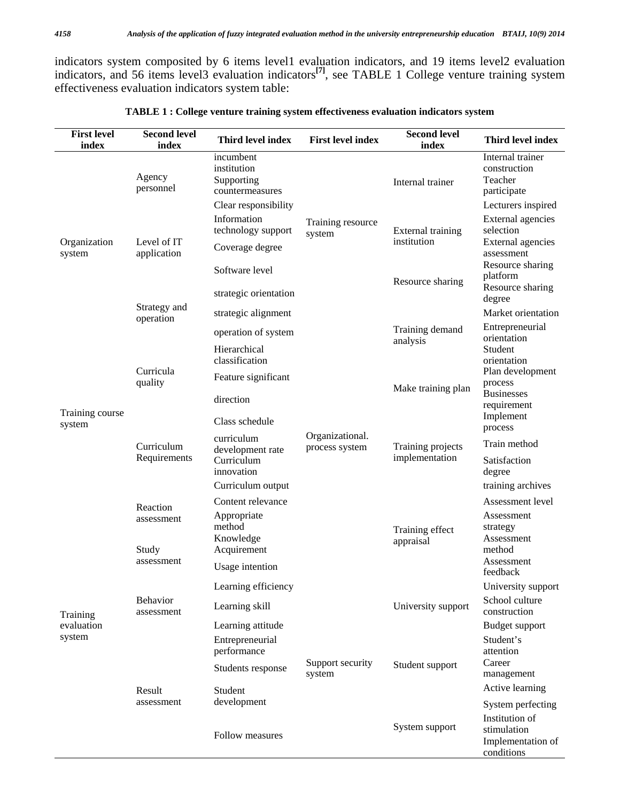indicators system composited by 6 items level1 evaluation indicators, and 19 items level2 evaluation indicators, and 56 items level3 evaluation indicators**[7]**, see TABLE 1 College venture training system effectiveness evaluation indicators system table:

| <b>First level</b><br>index | <b>Second level</b><br>index | <b>Third level index</b>                                  | <b>First level index</b>          | <b>Second level</b><br>index                      | <b>Third level index</b>                                         |
|-----------------------------|------------------------------|-----------------------------------------------------------|-----------------------------------|---------------------------------------------------|------------------------------------------------------------------|
| Organization<br>system      | Agency<br>personnel          | incumbent<br>institution<br>Supporting<br>countermeasures |                                   | Internal trainer                                  | Internal trainer<br>construction<br>Teacher<br>participate       |
|                             |                              | Clear responsibility                                      |                                   |                                                   | Lecturers inspired                                               |
|                             | Level of IT<br>application   | Information<br>technology support                         | Training resource<br>system       | External training<br>institution                  | External agencies<br>selection                                   |
|                             |                              | Coverage degree                                           |                                   |                                                   | External agencies<br>assessment                                  |
|                             |                              | Software level                                            |                                   | Resource sharing                                  | Resource sharing<br>platform                                     |
|                             | Strategy and<br>operation    | strategic orientation                                     |                                   |                                                   | Resource sharing<br>degree                                       |
|                             |                              | strategic alignment                                       |                                   | Training demand<br>analysis<br>Make training plan | Market orientation                                               |
|                             |                              | operation of system                                       |                                   |                                                   | Entrepreneurial<br>orientation                                   |
|                             |                              | Hierarchical<br>classification                            |                                   |                                                   | Student<br>orientation                                           |
|                             | Curricula<br>quality         | Feature significant                                       |                                   |                                                   | Plan development<br>process                                      |
|                             |                              | direction                                                 |                                   |                                                   | <b>Businesses</b><br>requirement                                 |
| Training course<br>system   |                              | Class schedule                                            | Organizational.<br>process system | Training projects<br>implementation               | Implement<br>process                                             |
|                             | Curriculum                   | curriculum                                                |                                   |                                                   | Train method                                                     |
|                             | Requirements                 | development rate<br>Curriculum<br>innovation              |                                   |                                                   | Satisfaction<br>degree                                           |
|                             |                              | Curriculum output                                         |                                   |                                                   | training archives                                                |
|                             | Reaction                     | Content relevance                                         |                                   | Training effect<br>appraisal                      | Assessment level                                                 |
|                             | assessment<br>Study          | Appropriate<br>method<br>Knowledge<br>Acquirement         |                                   |                                                   | Assessment<br>strategy<br>Assessment<br>method                   |
|                             | assessment                   | Usage intention                                           |                                   |                                                   | Assessment<br>feedback                                           |
|                             |                              | Learning efficiency                                       |                                   | University support                                | University support                                               |
| Training                    | Behavior<br>assessment       | Learning skill                                            |                                   |                                                   | School culture<br>construction                                   |
| evaluation                  |                              | Learning attitude                                         | Support security<br>system        |                                                   | Budget support                                                   |
| system                      | Result<br>assessment         | Entrepreneurial<br>performance                            |                                   | Student support                                   | Student's<br>attention                                           |
|                             |                              | Students response                                         |                                   |                                                   | Career<br>management                                             |
|                             |                              | Student<br>development                                    |                                   |                                                   | Active learning                                                  |
|                             |                              |                                                           |                                   |                                                   | System perfecting                                                |
|                             |                              | Follow measures                                           |                                   | System support                                    | Institution of<br>stimulation<br>Implementation of<br>conditions |

|  |  | TABLE 1 : College venture training system effectiveness evaluation indicators system |
|--|--|--------------------------------------------------------------------------------------|
|  |  |                                                                                      |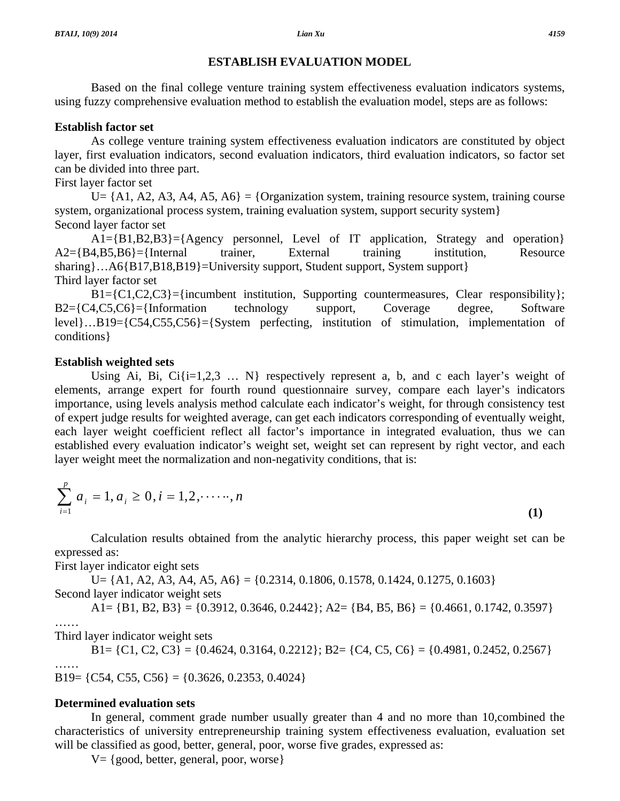#### **ESTABLISH EVALUATION MODEL**

 Based on the final college venture training system effectiveness evaluation indicators systems, using fuzzy comprehensive evaluation method to establish the evaluation model, steps are as follows:

#### **Establish factor set**

 As college venture training system effectiveness evaluation indicators are constituted by object layer, first evaluation indicators, second evaluation indicators, third evaluation indicators, so factor set can be divided into three part.

First layer factor set

 $U = \{A1, A2, A3, A4, A5, A6\} = \{Organization system, training resource system, training course$ system, organizational process system, training evaluation system, support security system} Second layer factor set

 A1={B1,B2,B3}={Agency personnel, Level of IT application, Strategy and operation} A2={B4,B5,B6}={Internal trainer, External training institution, Resource sharing }... A6{B17,B18,B19}=University support, Student support, System support} Third layer factor set

 $B1=\{C1, C2, C3\}=\{in\text{cumbent}\}$  institution, Supporting countermeasures, Clear responsibility};  $B2 = \{C4, C5, C6\} = \{Information$  technology support, Coverage degree, Software level}…B19={C54,C55,C56}={System perfecting, institution of stimulation, implementation of conditions}

#### **Establish weighted sets**

Using Ai, Bi, Ci $\{i=1,2,3 \ldots N\}$  respectively represent a, b, and c each layer's weight of elements, arrange expert for fourth round questionnaire survey, compare each layer's indicators importance, using levels analysis method calculate each indicator's weight, for through consistency test of expert judge results for weighted average, can get each indicators corresponding of eventually weight, each layer weight coefficient reflect all factor's importance in integrated evaluation, thus we can established every evaluation indicator's weight set, weight set can represent by right vector, and each layer weight meet the normalization and non-negativity conditions, that is:

$$
\sum_{i=1}^{p} a_i = 1, a_i \ge 0, i = 1, 2, \dots, n
$$
 (1)

 Calculation results obtained from the analytic hierarchy process, this paper weight set can be expressed as:

First layer indicator eight sets

 $U = \{A1, A2, A3, A4, A5, A6\} = \{0.2314, 0.1806, 0.1578, 0.1424, 0.1275, 0.1603\}$ Second layer indicator weight sets

A1=  ${B1, B2, B3} = {0.3912, 0.3646, 0.2442}$ ; A2=  ${B4, B5, B6} = {0.4661, 0.1742, 0.3597}$ ………

Third layer indicator weight sets

B1= {C1, C2, C3} = {0.4624, 0.3164, 0.2212}; B2= {C4, C5, C6} = {0.4981, 0.2452, 0.2567}

B19=  $\{C54, C55, C56\} = \{0.3626, 0.2353, 0.4024\}$ 

#### **Determined evaluation sets**

……

 In general, comment grade number usually greater than 4 and no more than 10,combined the characteristics of university entrepreneurship training system effectiveness evaluation, evaluation set will be classified as good, better, general, poor, worse five grades, expressed as:

V= {good, better, general, poor, worse}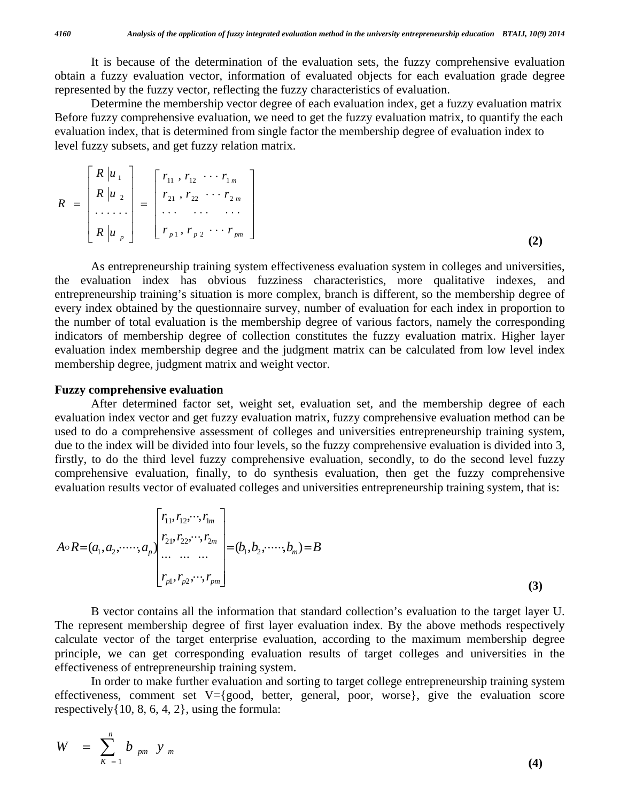It is because of the determination of the evaluation sets, the fuzzy comprehensive evaluation obtain a fuzzy evaluation vector, information of evaluated objects for each evaluation grade degree represented by the fuzzy vector, reflecting the fuzzy characteristics of evaluation.

 Determine the membership vector degree of each evaluation index, get a fuzzy evaluation matrix Before fuzzy comprehensive evaluation, we need to get the fuzzy evaluation matrix, to quantify the each evaluation index, that is determined from single factor the membership degree of evaluation index to level fuzzy subsets, and get fuzzy relation matrix.

|  | $R = \begin{bmatrix} R &  u_1 \\ R &  u_2 \\ \cdots \\ R &  u_p \end{bmatrix} = \begin{bmatrix} r_{11} & r_{12} & \cdots & r_{1m} \\ r_{21} & r_{22} & \cdots & r_{2m} \\ \cdots & \cdots & \cdots & \cdots \\ r_{p1} & r_{p2} & \cdots & r_{pm} \end{bmatrix}$ |  |
|--|-----------------------------------------------------------------------------------------------------------------------------------------------------------------------------------------------------------------------------------------------------------------|--|
|  |                                                                                                                                                                                                                                                                 |  |

 As entrepreneurship training system effectiveness evaluation system in colleges and universities, the evaluation index has obvious fuzziness characteristics, more qualitative indexes, and entrepreneurship training's situation is more complex, branch is different, so the membership degree of every index obtained by the questionnaire survey, number of evaluation for each index in proportion to the number of total evaluation is the membership degree of various factors, namely the corresponding indicators of membership degree of collection constitutes the fuzzy evaluation matrix. Higher layer evaluation index membership degree and the judgment matrix can be calculated from low level index membership degree, judgment matrix and weight vector.

### **Fuzzy comprehensive evaluation**

 After determined factor set, weight set, evaluation set, and the membership degree of each evaluation index vector and get fuzzy evaluation matrix, fuzzy comprehensive evaluation method can be used to do a comprehensive assessment of colleges and universities entrepreneurship training system, due to the index will be divided into four levels, so the fuzzy comprehensive evaluation is divided into 3, firstly, to do the third level fuzzy comprehensive evaluation, secondly, to do the second level fuzzy comprehensive evaluation, finally, to do synthesis evaluation, then get the fuzzy comprehensive evaluation results vector of evaluated colleges and universities entrepreneurship training system, that is:

$$
A \circ R = (a_1, a_2, \cdots, a_p) \begin{bmatrix} r_{11}, r_{12}, \cdots, r_{1m} \\ r_{21}, r_{22}, \cdots, r_{2m} \\ \cdots \cdots \cdots \cdots \\ r_{p1}, r_{p2}, \cdots, r_{pm} \end{bmatrix} = (b_1, b_2, \cdots, b_m) = B
$$
\n(3)

 B vector contains all the information that standard collection's evaluation to the target layer U. The represent membership degree of first layer evaluation index. By the above methods respectively calculate vector of the target enterprise evaluation, according to the maximum membership degree principle, we can get corresponding evaluation results of target colleges and universities in the effectiveness of entrepreneurship training system.

 In order to make further evaluation and sorting to target college entrepreneurship training system effectiveness, comment set  $V = \{good, better, general, poor, worse\}$ , give the evaluation score respectively $\{10, 8, 6, 4, 2\}$ , using the formula:

$$
W = \sum_{K=1}^{n} b_{pm} y_{m}
$$
 (4)